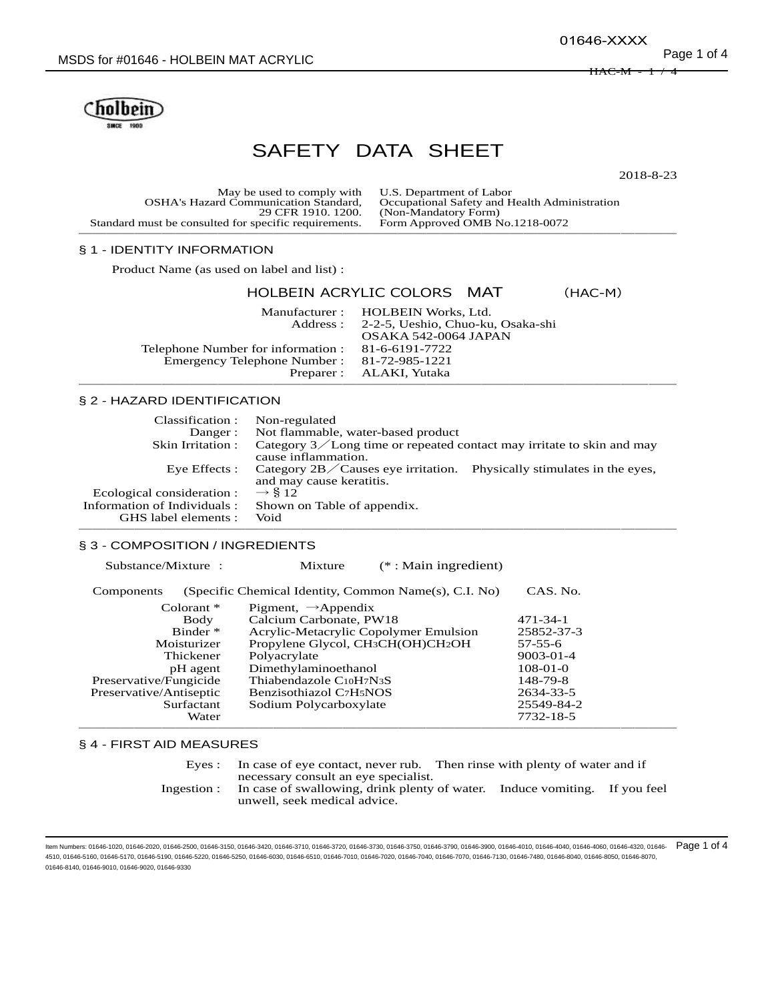01646-XXXX

 $H$ A $C$ -M  $\,$ 



# SAFETY DATA SHEET

2018-8-23

May be used to comply with U.S. Department of Labor<br>OSHA's Hazard Communication Standard, Occupational Safety and H nunication Standard, Occupational Safety and Health Administration<br>29 CFR 1910. 1200. (Non-Mandatory Form) (Non-Mandatory Form)<br>Form Approved OMB No.1218-0072 Standard must be consulted for specific requirements. ───────────────────────────────────────────

# § 1 - IDENTITY INFORMATION

Product Name (as used on label and list) :

## HOLBEIN ACRYLIC COLORS MAT (HAC-M)

Manufacturer : HOLBEIN Works, Ltd.<br>Address : 2-2-5, Ueshio, Chuo-ku 2-2-5, Ueshio, Chuo-ku, Osaka-shi OSAKA 542-0064 JAPAN Telephone Number for information : 81-6-6191-7722<br>Emergency Telephone Number : 81-72-985-1221 Emergency Telephone Number :<br>Preparer : ALAKI, Yutaka ───────────────────────────────────────────

## § 2 - HAZARD IDENTIFICATION

| Classification :            | Non-regulated                                                                     |  |
|-----------------------------|-----------------------------------------------------------------------------------|--|
| Danger:                     | Not flammable, water-based product                                                |  |
| Skin Irritation:            | Category $3$ Long time or repeated contact may irritate to skin and may           |  |
|                             | cause inflammation.                                                               |  |
| Eye Effects :               | Category $2B$ $\diagup$ Causes eye irritation. Physically stimulates in the eyes, |  |
|                             | and may cause keratitis.                                                          |  |
| Ecological consideration :  | $\rightarrow$ \$ 12                                                               |  |
| Information of Individuals: | Shown on Table of appendix.                                                       |  |
| GHS label elements :        | Void                                                                              |  |
|                             |                                                                                   |  |

# § 3 - COMPOSITION / INGREDIENTS

Substance/Mixture : Mixture (\* : Main ingredient)

| Components              | (Specific Chemical Identity, Common Name(s), C.I. No)      | CAS. No.        |
|-------------------------|------------------------------------------------------------|-----------------|
| $\alpha$ lorant $*$     | Pigment, $\rightarrow$ Appendix                            |                 |
| Body                    | Calcium Carbonate, PW18                                    | $471 - 34 - 1$  |
| Binder *                | Acrylic-Metacrylic Copolymer Emulsion                      | 25852-37-3      |
| Moisturizer             | Propylene Glycol, CH <sub>3</sub> CH(OH)CH <sub>2</sub> OH | $57 - 55 - 6$   |
| Thickener               | Polyacrylate                                               | $9003 - 01 - 4$ |
| pH agent                | Dimethylaminoethanol                                       | $108-01-0$      |
| Preservative/Fungicide  | Thiabendazole C10H7N3S                                     | 148-79-8        |
| Preservative/Antiseptic | Benzisothiazol C7H5NOS                                     | 2634-33-5       |
| Surfactant              | Sodium Polycarboxylate                                     | 25549-84-2      |
| Water                   |                                                            | 7732-18-5       |
|                         |                                                            |                 |

# § 4 - FIRST AID MEASURES

| Eves :      | In case of eye contact, never rub. Then rinse with plenty of water and if<br>necessary consult an eye specialist. |  |  |
|-------------|-------------------------------------------------------------------------------------------------------------------|--|--|
| Ingestion : | In case of swallowing, drink plenty of water. Induce vomiting. If you feel<br>unwell, seek medical advice.        |  |  |

Item Numbers: 01646-1020, 01646-2020, 01646-2500, 01646-3150, 01646-3420, 01646-3710, 01646-3720, 01646-3730, 01646-3750, 01646-3790, 01646-3900, 01646-4010, 01646-4040, 01646-4060, 01646-4320, 01646- 4510, 01646-5160, 01646-5170, 01646-5190, 01646-5220, 01646-5250, 01646-6030, 01646-6510, 01646-7010, 01646-7020, 01646-7040, 01646-7070, 01646-7130, 01646-7480, 01646-8040, 01646-8050, 01646-8070, 01646-8140, 01646-9010, 01646-9020, 01646-9330 Page 1 of 4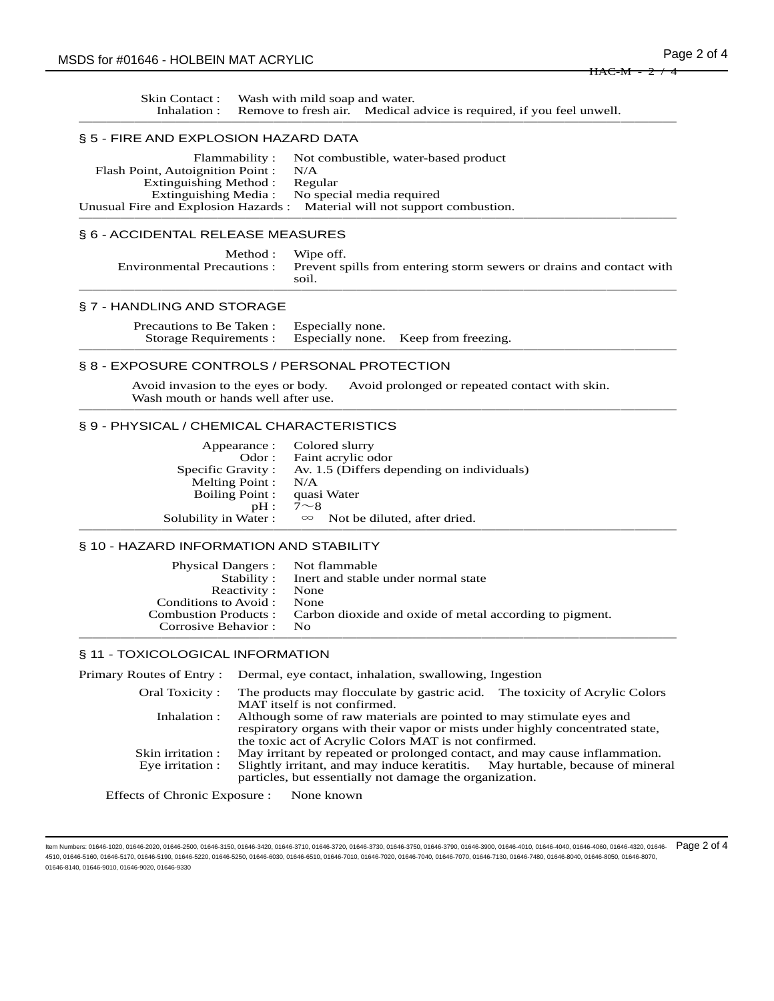| Skin Contact: Wash with mild soap and water. |                                                                                   |
|----------------------------------------------|-----------------------------------------------------------------------------------|
|                                              | Inhalation : Remove to fresh air. Medical advice is required, if you feel unwell. |
|                                              |                                                                                   |

### § 5 - FIRE AND EXPLOSION HAZARD DATA

|                                  | Flammability: Not combustible, water-based product                         |
|----------------------------------|----------------------------------------------------------------------------|
| Flash Point, Autoignition Point: | N/A                                                                        |
| Extinguishing Method:            | Regular                                                                    |
|                                  | Extinguishing Media: No special media required                             |
|                                  | Unusual Fire and Explosion Hazards : Material will not support combustion. |
|                                  |                                                                            |

# § 6 - ACCIDENTAL RELEASE MEASURES

| Method: Wipe off.<br>Environmental Precautions : Prevent spills from entering storm sewers or drains and contact with<br>soil |
|-------------------------------------------------------------------------------------------------------------------------------|
|                                                                                                                               |

#### § 7 - HANDLING AND STORAGE

| Precautions to Be Taken : Especially none.<br>Storage Requirements : Especially none. Keep from freezing. |  |  |
|-----------------------------------------------------------------------------------------------------------|--|--|
|                                                                                                           |  |  |

# § 8 - EXPOSURE CONTROLS / PERSONAL PROTECTION

Avoid invasion to the eyes or body. Avoid prolonged or repeated contact with skin. Wash mouth or hands well after use. ───────────────────────────────────────────

## § 9 - PHYSICAL / CHEMICAL CHARACTERISTICS

|                       | Appearance : Colored slurry                                   |
|-----------------------|---------------------------------------------------------------|
| Odor :                | Faint acrylic odor                                            |
|                       | Specific Gravity : Av. 1.5 (Differs depending on individuals) |
| Melting Point : $N/A$ |                                                               |
| Boiling Point :       | quasi Water                                                   |
| pH:                   | $7 \sim 8$                                                    |
|                       | Solubility in Water : $\infty$ Not be diluted, after dried.   |
|                       |                                                               |

## § 10 - HAZARD INFORMATION AND STABILITY

| Physical Dangers : Not flammable |                                                                               |
|----------------------------------|-------------------------------------------------------------------------------|
| Stability:                       | Inert and stable under normal state                                           |
| Reactivity:                      | None                                                                          |
| Conditions to Avoid :            | None                                                                          |
|                                  | Combustion Products : Carbon dioxide and oxide of metal according to pigment. |
| Corrosive Behavior:              | $N_{\Omega}$                                                                  |
|                                  |                                                                               |

## § 11 - TOXICOLOGICAL INFORMATION

|                                       | Primary Routes of Entry: Dermal, eye contact, inhalation, swallowing, Ingestion                                                                                                                                        |  |
|---------------------------------------|------------------------------------------------------------------------------------------------------------------------------------------------------------------------------------------------------------------------|--|
| Oral Toxicity:                        | The products may flocculate by gastric acid. The toxicity of Acrylic Colors<br>MAT itself is not confirmed.                                                                                                            |  |
| Inhalation :                          | Although some of raw materials are pointed to may stimulate eyes and<br>respiratory organs with their vapor or mists under highly concentrated state,<br>the toxic act of Acrylic Colors MAT is not confirmed.         |  |
| Skin irritation :<br>Eye irritation : | May irritant by repeated or prolonged contact, and may cause inflammation.<br>Slightly irritant, and may induce keratitis. May hurtable, because of mineral<br>particles, but essentially not damage the organization. |  |
|                                       |                                                                                                                                                                                                                        |  |

Effects of Chronic Exposure : None known

ltem Numbers: 01646-1020, 01646-2020, 01646-2500, 01646-3150, 01646-3420, 01646-3710, 01646-3730, 01646-3730, 01646-3750, 01646-3900, 01646-3900, 01646-4010, 01646-4040, 01646-4060, 01646-40320, 01646-4040, 01646-4040, 016 4510, 01646-5160, 01646-5170, 01646-5190, 01646-5220, 01646-5250, 01646-6030, 01646-6510, 01646-7010, 01646-7020, 01646-7040, 01646-7070, 01646-7130, 01646-7480, 01646-8040, 01646-8050, 01646-8070, 01646-8140, 01646-9010, 01646-9020, 01646-9330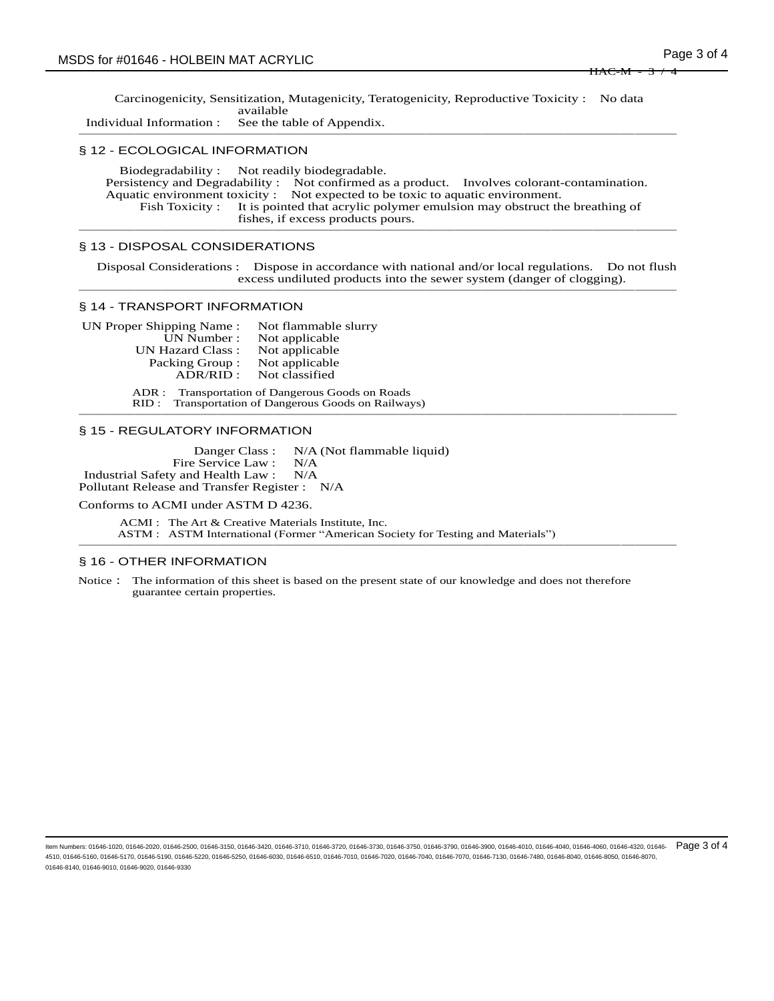Carcinogenicity, Sensitization, Mutagenicity, Teratogenicity, Reproductive Toxicity : No data available

Individual Information : See the table of Appendix. ───────────────────────────────────────────

#### § 12 - ECOLOGICAL INFORMATION

Biodegradability : Not readily biodegradable. Persistency and Degradability : Not confirmed as a product. Involves colorant-contamination. Aquatic environment toxicity : Not expected to be toxic to aquatic environment.<br>Fish Toxicity : It is pointed that acrylic polymer emulsion may obstruct the It is pointed that acrylic polymer emulsion may obstruct the breathing of fishes, if excess products pours. ───────────────────────────────────────────

#### § 13 - DISPOSAL CONSIDERATIONS

Disposal Considerations : Dispose in accordance with national and/or local regulations. Do not flush excess undiluted products into the sewer system (danger of clogging). ───────────────────────────────────────────

#### § 14 - TRANSPORT INFORMATION

UN Proper Shipping Name : Not flammable slurry<br>UN Number : Not applicable Not applicable UN Hazard Class : Not applicable Packing Group : Not applicable<br>ADR/RID : Not classified Not classified

ADR : Transportation of Dangerous Goods on Roads RID : Transportation of Dangerous Goods on Railways) ───────────────────────────────────────────

#### § 15 - REGULATORY INFORMATION

Danger Class : N/A (Not flammable liquid) Fire Service Law : N/A Industrial Safety and Health Law : N/A Pollutant Release and Transfer Register : N/A

Conforms to ACMI under ASTM D 4236.

ACMI : The Art & Creative Materials Institute, Inc. ASTM : ASTM International (Former "American Society for Testing and Materials") ───────────────────────────────────────────

#### § 16 - OTHER INFORMATION

Notice: The information of this sheet is based on the present state of our knowledge and does not therefore guarantee certain properties.

Item Numbers: 01646-1020, 01646-2020, 01646-2500, 01646-3150, 01646-3420, 01646-3710, 01646-3720, 01646-3750, 01646-3790, 01646-3900, 01646-4010, 01646-4040, 01646-4060, 01646-320, 01646-3780, 01646-4010, 01646-4040, 01646 4510, 01646-5160, 01646-5170, 01646-5190, 01646-5220, 01646-5250, 01646-6030, 01646-6510, 01646-7010, 01646-7020, 01646-7040, 01646-7070, 01646-7130, 01646-7480, 01646-8040, 01646-8050, 01646-8070, 01646-8140, 01646-9010, 01646-9020, 01646-9330 Page 3 of 4